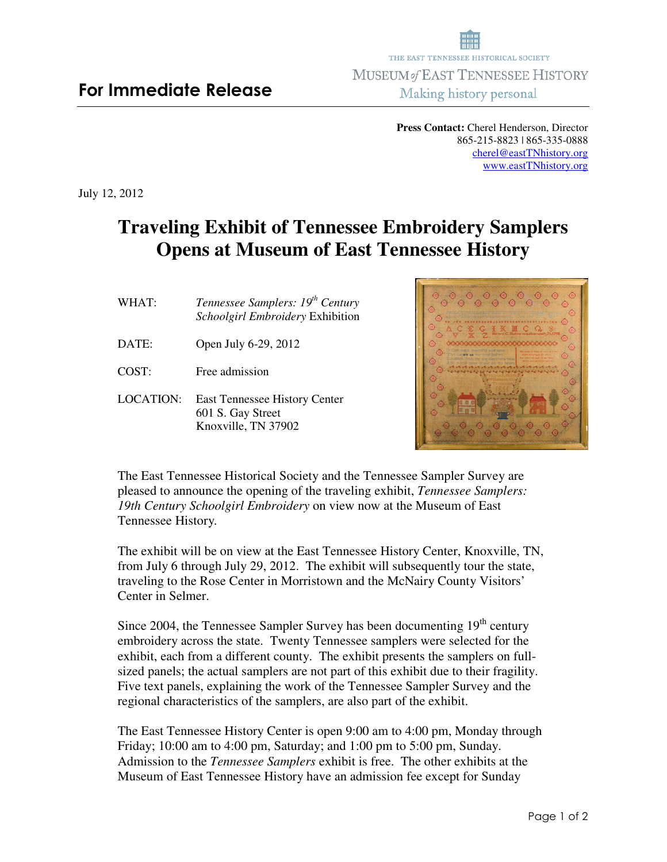**Press Contact:** Cherel Henderson, Director 865-215-8823 | 865-335-0888 cherel@eastTNhistory.org www.eastTNhistory.org

July 12, 2012

## **Traveling Exhibit of Tennessee Embroidery Samplers Opens at Museum of East Tennessee History**

| WHAT:     | Tennessee Samplers: 19 <sup>th</sup> Century<br>Schoolgirl Embroidery Exhibition |
|-----------|----------------------------------------------------------------------------------|
| DATE:     | Open July 6-29, 2012                                                             |
| COST:     | Free admission                                                                   |
| LOCATION: | <b>East Tennessee History Center</b><br>601 S. Gay Street<br>Knoxville, TN 37902 |



The East Tennessee Historical Society and the Tennessee Sampler Survey are pleased to announce the opening of the traveling exhibit, *Tennessee Samplers: 19th Century Schoolgirl Embroidery* on view now at the Museum of East Tennessee History*.*

The exhibit will be on view at the East Tennessee History Center, Knoxville, TN, from July 6 through July 29, 2012. The exhibit will subsequently tour the state, traveling to the Rose Center in Morristown and the McNairy County Visitors' Center in Selmer.

Since 2004, the Tennessee Sampler Survey has been documenting  $19<sup>th</sup>$  century embroidery across the state. Twenty Tennessee samplers were selected for the exhibit, each from a different county. The exhibit presents the samplers on fullsized panels; the actual samplers are not part of this exhibit due to their fragility. Five text panels, explaining the work of the Tennessee Sampler Survey and the regional characteristics of the samplers, are also part of the exhibit.

The East Tennessee History Center is open 9:00 am to 4:00 pm, Monday through Friday; 10:00 am to 4:00 pm, Saturday; and 1:00 pm to 5:00 pm, Sunday. Admission to the *Tennessee Samplers* exhibit is free. The other exhibits at the Museum of East Tennessee History have an admission fee except for Sunday